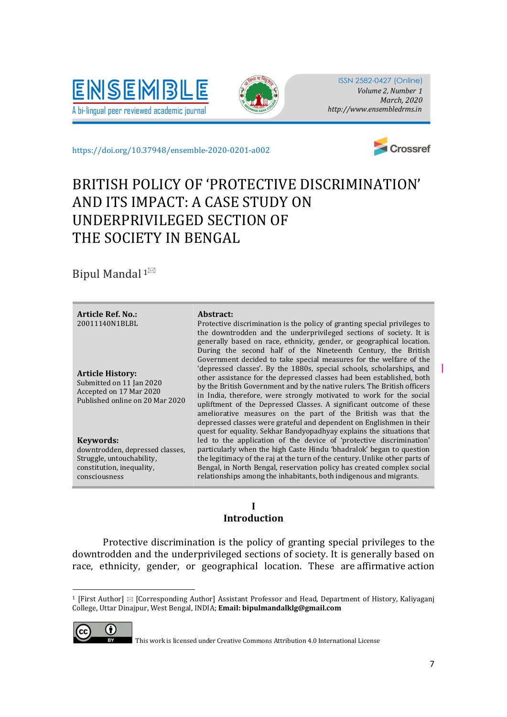



ISSN 2582-0427 (Online) Volume 2, Number 1 March, 2020 http://www.ensembledrms.in

https://doi.org/10.37948/ensemble-2020-0201-a002



# BRITISH POLICY OF 'PROTECTIVE DISCRIMINATION' AND ITS IMPACT: A CASE STUDY ON UNDERPRIVILEGED SECTION OF THE SOCIETY IN BENGAL

Bipul Mandal  $1^{\boxtimes}$ 

| <b>Article Ref. No.:</b><br>20011140N1BLBL                                                                              | Abstract:<br>Protective discrimination is the policy of granting special privileges to<br>the downtrodden and the underprivileged sections of society. It is<br>generally based on race, ethnicity, gender, or geographical location.                                                                                                                                                                                                                                                                                                                                                                                                                                                                                             |
|-------------------------------------------------------------------------------------------------------------------------|-----------------------------------------------------------------------------------------------------------------------------------------------------------------------------------------------------------------------------------------------------------------------------------------------------------------------------------------------------------------------------------------------------------------------------------------------------------------------------------------------------------------------------------------------------------------------------------------------------------------------------------------------------------------------------------------------------------------------------------|
| <b>Article History:</b><br>Submitted on 11 Jan 2020<br>Accepted on 17 Mar 2020<br>Published online on 20 Mar 2020       | During the second half of the Nineteenth Century, the British<br>Government decided to take special measures for the welfare of the<br>'depressed classes'. By the 1880s, special schools, scholarships, and<br>other assistance for the depressed classes had been established, both<br>by the British Government and by the native rulers. The British officers<br>in India, therefore, were strongly motivated to work for the social<br>upliftment of the Depressed Classes. A significant outcome of these<br>ameliorative measures on the part of the British was that the<br>depressed classes were grateful and dependent on Englishmen in their<br>quest for equality. Sekhar Bandyopadhyay explains the situations that |
| Keywords:<br>downtrodden, depressed classes,<br>Struggle, untouchability,<br>constitution, inequality,<br>consciousness | led to the application of the device of 'protective discrimination'<br>particularly when the high Caste Hindu 'bhadralok' began to question<br>the legitimacy of the raj at the turn of the century. Unlike other parts of<br>Bengal, in North Bengal, reservation policy has created complex social<br>relationships among the inhabitants, both indigenous and migrants.                                                                                                                                                                                                                                                                                                                                                        |

### I Introduction

Protective discrimination is the policy of granting special privileges to the downtrodden and the underprivileged sections of society. It is generally based on race, ethnicity, gender, or geographical location. These are affirmative action

<sup>&</sup>lt;sup>1</sup> [First Author]  $\boxtimes$  [Corresponding Author] Assistant Professor and Head, Department of History, Kaliyaganj College, Uttar Dinajpur, West Bengal, INDIA; Email: bipulmandalklg@gmail.com



 $\overline{a}$ 

This work is licensed under Creative Commons Attribution 4.0 International License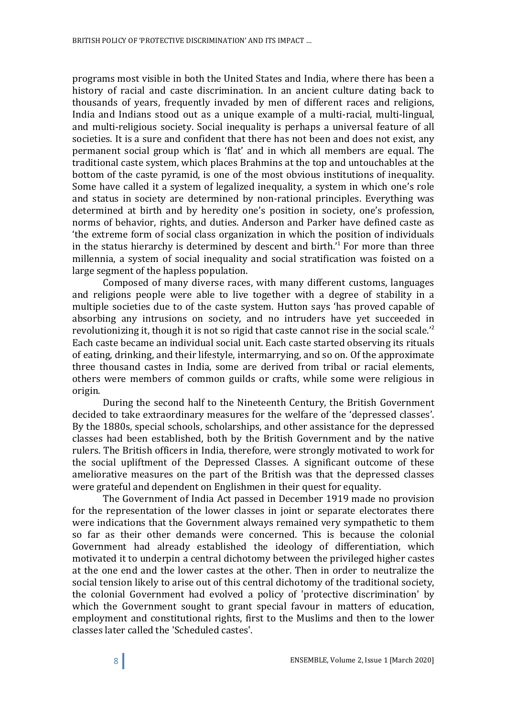programs most visible in both the United States and India, where there has been a history of racial and caste discrimination. In an ancient culture dating back to thousands of years, frequently invaded by men of different races and religions, India and Indians stood out as a unique example of a multi-racial, multi-lingual, and multi-religious society. Social inequality is perhaps a universal feature of all societies. It is a sure and confident that there has not been and does not exist, any permanent social group which is 'flat' and in which all members are equal. The traditional caste system, which places Brahmins at the top and untouchables at the bottom of the caste pyramid, is one of the most obvious institutions of inequality. Some have called it a system of legalized inequality, a system in which one's role and status in society are determined by non-rational principles. Everything was determined at birth and by heredity one's position in society, one's profession, norms of behavior, rights, and duties. Anderson and Parker have defined caste as 'the extreme form of social class organization in which the position of individuals in the status hierarchy is determined by descent and birth.'<sup>1</sup> For more than three millennia, a system of social inequality and social stratification was foisted on a large segment of the hapless population.

 Composed of many diverse races, with many different customs, languages and religions people were able to live together with a degree of stability in a multiple societies due to of the caste system. Hutton says 'has proved capable of absorbing any intrusions on society, and no intruders have yet succeeded in revolutionizing it, though it is not so rigid that caste cannot rise in the social scale.<sup>2</sup> Each caste became an individual social unit. Each caste started observing its rituals of eating, drinking, and their lifestyle, intermarrying, and so on. Of the approximate three thousand castes in India, some are derived from tribal or racial elements, others were members of common guilds or crafts, while some were religious in origin.

During the second half to the Nineteenth Century, the British Government decided to take extraordinary measures for the welfare of the 'depressed classes'. By the 1880s, special schools, scholarships, and other assistance for the depressed classes had been established, both by the British Government and by the native rulers. The British officers in India, therefore, were strongly motivated to work for the social upliftment of the Depressed Classes. A significant outcome of these ameliorative measures on the part of the British was that the depressed classes were grateful and dependent on Englishmen in their quest for equality.

 The Government of India Act passed in December 1919 made no provision for the representation of the lower classes in joint or separate electorates there were indications that the Government always remained very sympathetic to them so far as their other demands were concerned. This is because the colonial Government had already established the ideology of differentiation, which motivated it to underpin a central dichotomy between the privileged higher castes at the one end and the lower castes at the other. Then in order to neutralize the social tension likely to arise out of this central dichotomy of the traditional society, the colonial Government had evolved a policy of 'protective discrimination' by which the Government sought to grant special favour in matters of education, employment and constitutional rights, first to the Muslims and then to the lower classes later called the 'Scheduled castes'.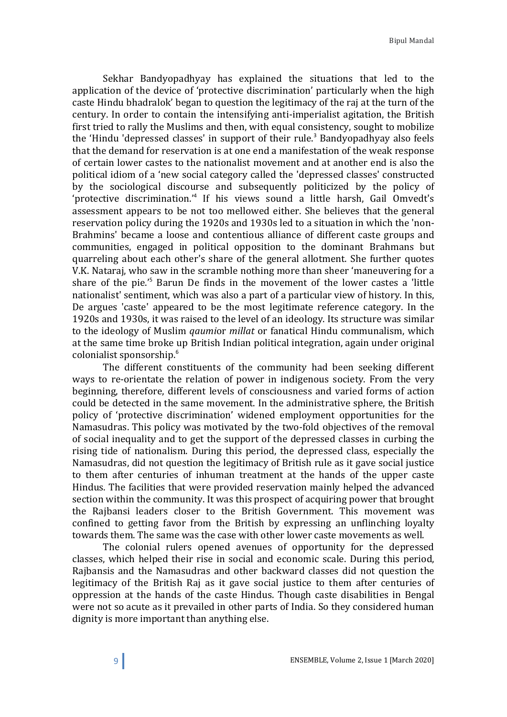Sekhar Bandyopadhyay has explained the situations that led to the application of the device of 'protective discrimination' particularly when the high caste Hindu bhadralok' began to question the legitimacy of the raj at the turn of the century. In order to contain the intensifying anti-imperialist agitation, the British first tried to rally the Muslims and then, with equal consistency, sought to mobilize the 'Hindu 'depressed classes' in support of their rule.<sup>3</sup> Bandyopadhyay also feels that the demand for reservation is at one end a manifestation of the weak response of certain lower castes to the nationalist movement and at another end is also the political idiom of a 'new social category called the 'depressed classes' constructed by the sociological discourse and subsequently politicized by the policy of 'protective discrimination.'<sup>4</sup> If his views sound a little harsh, Gail Omvedt's assessment appears to be not too mellowed either. She believes that the general reservation policy during the 1920s and 1930s led to a situation in which the 'non-Brahmins' became a loose and contentious alliance of different caste groups and communities, engaged in political opposition to the dominant Brahmans but quarreling about each other's share of the general allotment. She further quotes V.K. Nataraj, who saw in the scramble nothing more than sheer 'maneuvering for a share of the pie.<sup>'5</sup> Barun De finds in the movement of the lower castes a 'little nationalist' sentiment, which was also a part of a particular view of history. In this, De argues 'caste' appeared to be the most legitimate reference category. In the 1920s and 1930s, it was raised to the level of an ideology. Its structure was similar to the ideology of Muslim qaumior millat or fanatical Hindu communalism, which at the same time broke up British Indian political integration, again under original colonialist sponsorship.<sup>6</sup>

The different constituents of the community had been seeking different ways to re-orientate the relation of power in indigenous society. From the very beginning, therefore, different levels of consciousness and varied forms of action could be detected in the same movement. In the administrative sphere, the British policy of 'protective discrimination' widened employment opportunities for the Namasudras. This policy was motivated by the two-fold objectives of the removal of social inequality and to get the support of the depressed classes in curbing the rising tide of nationalism. During this period, the depressed class, especially the Namasudras, did not question the legitimacy of British rule as it gave social justice to them after centuries of inhuman treatment at the hands of the upper caste Hindus. The facilities that were provided reservation mainly helped the advanced section within the community. It was this prospect of acquiring power that brought the Rajbansi leaders closer to the British Government. This movement was confined to getting favor from the British by expressing an unflinching loyalty towards them. The same was the case with other lower caste movements as well.

The colonial rulers opened avenues of opportunity for the depressed classes, which helped their rise in social and economic scale. During this period, Rajbansis and the Namasudras and other backward classes did not question the legitimacy of the British Raj as it gave social justice to them after centuries of oppression at the hands of the caste Hindus. Though caste disabilities in Bengal were not so acute as it prevailed in other parts of India. So they considered human dignity is more important than anything else.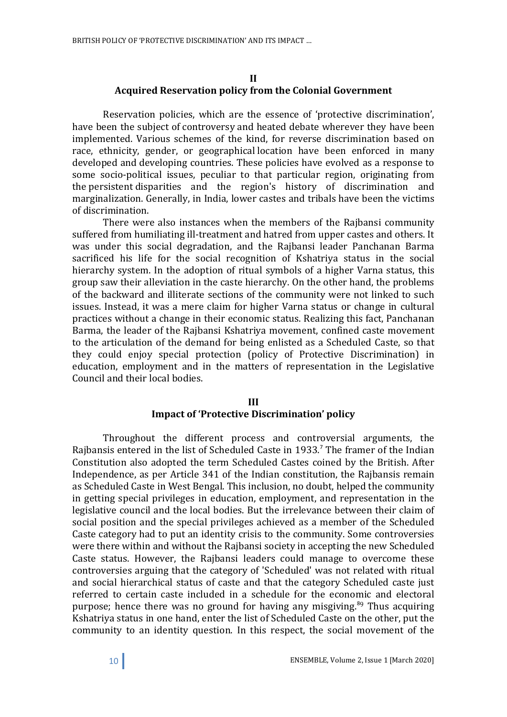## II Acquired Reservation policy from the Colonial Government

Reservation policies, which are the essence of 'protective discrimination', have been the subject of controversy and heated debate wherever they have been implemented. Various schemes of the kind, for reverse discrimination based on race, ethnicity, gender, or geographical location have been enforced in many developed and developing countries. These policies have evolved as a response to some socio-political issues, peculiar to that particular region, originating from the persistent disparities and the region's history of discrimination and marginalization. Generally, in India, lower castes and tribals have been the victims of discrimination.

There were also instances when the members of the Rajbansi community suffered from humiliating ill-treatment and hatred from upper castes and others. It was under this social degradation, and the Rajbansi leader Panchanan Barma sacrificed his life for the social recognition of Kshatriya status in the social hierarchy system. In the adoption of ritual symbols of a higher Varna status, this group saw their alleviation in the caste hierarchy. On the other hand, the problems of the backward and illiterate sections of the community were not linked to such issues. Instead, it was a mere claim for higher Varna status or change in cultural practices without a change in their economic status. Realizing this fact, Panchanan Barma, the leader of the Rajbansi Kshatriya movement, confined caste movement to the articulation of the demand for being enlisted as a Scheduled Caste, so that they could enjoy special protection (policy of Protective Discrimination) in education, employment and in the matters of representation in the Legislative Council and their local bodies.

## III Impact of 'Protective Discrimination' policy

Throughout the different process and controversial arguments, the Rajbansis entered in the list of Scheduled Caste in 1933.<sup>7</sup> The framer of the Indian Constitution also adopted the term Scheduled Castes coined by the British. After Independence, as per Article 341 of the Indian constitution, the Rajbansis remain as Scheduled Caste in West Bengal. This inclusion, no doubt, helped the community in getting special privileges in education, employment, and representation in the legislative council and the local bodies. But the irrelevance between their claim of social position and the special privileges achieved as a member of the Scheduled Caste category had to put an identity crisis to the community. Some controversies were there within and without the Rajbansi society in accepting the new Scheduled Caste status. However, the Rajbansi leaders could manage to overcome these controversies arguing that the category of 'Scheduled' was not related with ritual and social hierarchical status of caste and that the category Scheduled caste just referred to certain caste included in a schedule for the economic and electoral purpose; hence there was no ground for having any misgiving.<sup>89</sup> Thus acquiring Kshatriya status in one hand, enter the list of Scheduled Caste on the other, put the community to an identity question. In this respect, the social movement of the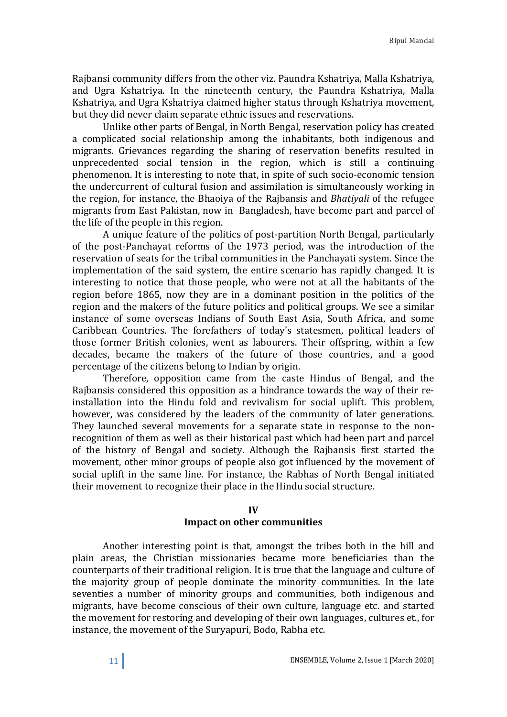Rajbansi community differs from the other viz. Paundra Kshatriya, Malla Kshatriya, and Ugra Kshatriya. In the nineteenth century, the Paundra Kshatriya, Malla Kshatriya, and Ugra Kshatriya claimed higher status through Kshatriya movement, but they did never claim separate ethnic issues and reservations.

Unlike other parts of Bengal, in North Bengal, reservation policy has created a complicated social relationship among the inhabitants, both indigenous and migrants. Grievances regarding the sharing of reservation benefits resulted in unprecedented social tension in the region, which is still a continuing phenomenon. It is interesting to note that, in spite of such socio-economic tension the undercurrent of cultural fusion and assimilation is simultaneously working in the region, for instance, the Bhaoiya of the Rajbansis and Bhatiyali of the refugee migrants from East Pakistan, now in Bangladesh, have become part and parcel of the life of the people in this region.

A unique feature of the politics of post-partition North Bengal, particularly of the post-Panchayat reforms of the 1973 period, was the introduction of the reservation of seats for the tribal communities in the Panchayati system. Since the implementation of the said system, the entire scenario has rapidly changed. It is interesting to notice that those people, who were not at all the habitants of the region before 1865, now they are in a dominant position in the politics of the region and the makers of the future politics and political groups. We see a similar instance of some overseas Indians of South East Asia, South Africa, and some Caribbean Countries. The forefathers of today's statesmen, political leaders of those former British colonies, went as labourers. Their offspring, within a few decades, became the makers of the future of those countries, and a good percentage of the citizens belong to Indian by origin.

Therefore, opposition came from the caste Hindus of Bengal, and the Rajbansis considered this opposition as a hindrance towards the way of their reinstallation into the Hindu fold and revivalism for social uplift. This problem, however, was considered by the leaders of the community of later generations. They launched several movements for a separate state in response to the nonrecognition of them as well as their historical past which had been part and parcel of the history of Bengal and society. Although the Rajbansis first started the movement, other minor groups of people also got influenced by the movement of social uplift in the same line. For instance, the Rabhas of North Bengal initiated their movement to recognize their place in the Hindu social structure.

### IV

## Impact on other communities

Another interesting point is that, amongst the tribes both in the hill and plain areas, the Christian missionaries became more beneficiaries than the counterparts of their traditional religion. It is true that the language and culture of the majority group of people dominate the minority communities. In the late seventies a number of minority groups and communities, both indigenous and migrants, have become conscious of their own culture, language etc. and started the movement for restoring and developing of their own languages, cultures et., for instance, the movement of the Suryapuri, Bodo, Rabha etc.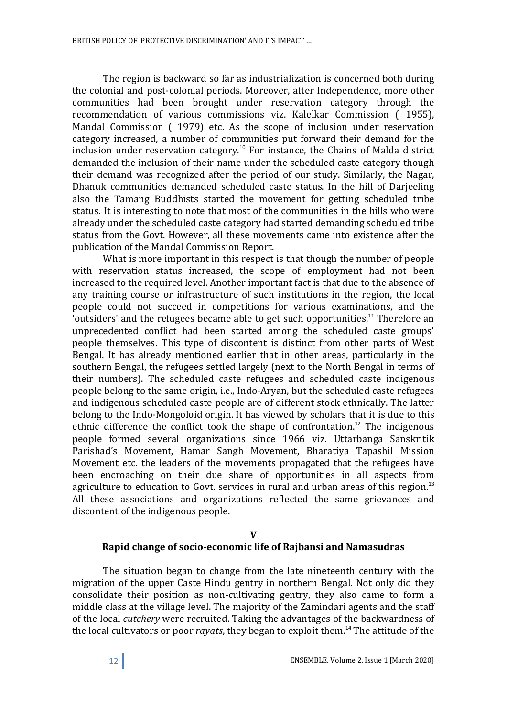The region is backward so far as industrialization is concerned both during the colonial and post-colonial periods. Moreover, after Independence, more other communities had been brought under reservation category through the recommendation of various commissions viz. Kalelkar Commission ( 1955), Mandal Commission ( 1979) etc. As the scope of inclusion under reservation category increased, a number of communities put forward their demand for the inclusion under reservation category.<sup>10</sup> For instance, the Chains of Malda district demanded the inclusion of their name under the scheduled caste category though their demand was recognized after the period of our study. Similarly, the Nagar, Dhanuk communities demanded scheduled caste status. In the hill of Darjeeling also the Tamang Buddhists started the movement for getting scheduled tribe status. It is interesting to note that most of the communities in the hills who were already under the scheduled caste category had started demanding scheduled tribe status from the Govt. However, all these movements came into existence after the publication of the Mandal Commission Report.

What is more important in this respect is that though the number of people with reservation status increased, the scope of employment had not been increased to the required level. Another important fact is that due to the absence of any training course or infrastructure of such institutions in the region, the local people could not succeed in competitions for various examinations, and the 'outsiders' and the refugees became able to get such opportunities.<sup>11</sup> Therefore an unprecedented conflict had been started among the scheduled caste groups' people themselves. This type of discontent is distinct from other parts of West Bengal. It has already mentioned earlier that in other areas, particularly in the southern Bengal, the refugees settled largely (next to the North Bengal in terms of their numbers). The scheduled caste refugees and scheduled caste indigenous people belong to the same origin, i.e., Indo-Aryan, but the scheduled caste refugees and indigenous scheduled caste people are of different stock ethnically. The latter belong to the Indo-Mongoloid origin. It has viewed by scholars that it is due to this ethnic difference the conflict took the shape of confrontation.<sup>12</sup> The indigenous people formed several organizations since 1966 viz. Uttarbanga Sanskritik Parishad's Movement, Hamar Sangh Movement, Bharatiya Tapashil Mission Movement etc. the leaders of the movements propagated that the refugees have been encroaching on their due share of opportunities in all aspects from agriculture to education to Govt. services in rural and urban areas of this region. $13$ All these associations and organizations reflected the same grievances and discontent of the indigenous people.

### $\mathbf{V}$

# Rapid change of socio-economic life of Rajbansi and Namasudras

The situation began to change from the late nineteenth century with the migration of the upper Caste Hindu gentry in northern Bengal. Not only did they consolidate their position as non-cultivating gentry, they also came to form a middle class at the village level. The majority of the Zamindari agents and the staff of the local cutchery were recruited. Taking the advantages of the backwardness of the local cultivators or poor *rayats*, they began to exploit them.<sup>14</sup> The attitude of the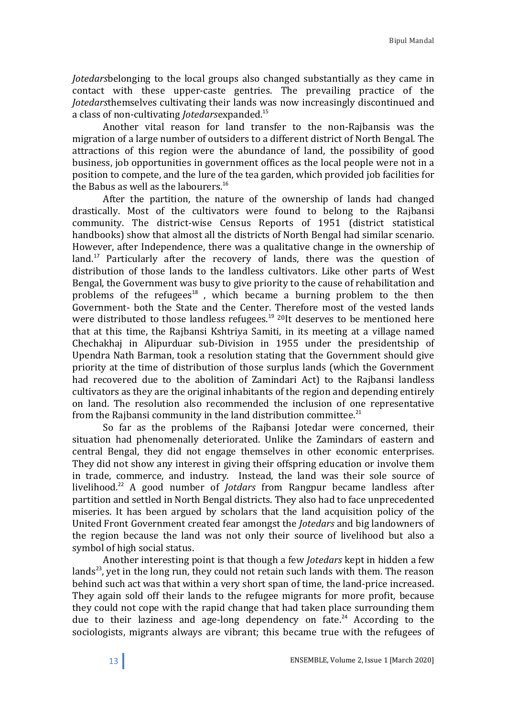Jotedarsbelonging to the local groups also changed substantially as they came in contact with these upper-caste gentries. The prevailing practice of the Jotedarsthemselves cultivating their lands was now increasingly discontinued and a class of non-cultivating *Jotedarsexpanded*.<sup>15</sup>

Another vital reason for land transfer to the non-Rajbansis was the migration of a large number of outsiders to a different district of North Bengal. The attractions of this region were the abundance of land, the possibility of good business, job opportunities in government offices as the local people were not in a position to compete, and the lure of the tea garden, which provided job facilities for the Babus as well as the labourers.<sup>16</sup>

After the partition, the nature of the ownership of lands had changed drastically. Most of the cultivators were found to belong to the Rajbansi community. The district-wise Census Reports of 1951 (district statistical handbooks) show that almost all the districts of North Bengal had similar scenario. However, after Independence, there was a qualitative change in the ownership of land.<sup>17</sup> Particularly after the recovery of lands, there was the question of distribution of those lands to the landless cultivators. Like other parts of West Bengal, the Government was busy to give priority to the cause of rehabilitation and problems of the refugees<sup>18</sup>, which became a burning problem to the then Government- both the State and the Center. Therefore most of the vested lands were distributed to those landless refugees.<sup>19</sup> <sup>20</sup>It deserves to be mentioned here that at this time, the Rajbansi Kshtriya Samiti, in its meeting at a village named Chechakhaj in Alipurduar sub-Division in 1955 under the presidentship of Upendra Nath Barman, took a resolution stating that the Government should give priority at the time of distribution of those surplus lands (which the Government had recovered due to the abolition of Zamindari Act) to the Rajbansi landless cultivators as they are the original inhabitants of the region and depending entirely on land. The resolution also recommended the inclusion of one representative from the Rajbansi community in the land distribution committee.<sup>21</sup>

So far as the problems of the Rajbansi Jotedar were concerned, their situation had phenomenally deteriorated. Unlike the Zamindars of eastern and central Bengal, they did not engage themselves in other economic enterprises. They did not show any interest in giving their offspring education or involve them in trade, commerce, and industry. Instead, the land was their sole source of livelihood.<sup>22</sup> A good number of *Jotdars* from Rangpur became landless after partition and settled in North Bengal districts. They also had to face unprecedented miseries. It has been argued by scholars that the land acquisition policy of the United Front Government created fear amongst the Jotedars and big landowners of the region because the land was not only their source of livelihood but also a symbol of high social status.

Another interesting point is that though a few Jotedars kept in hidden a few lands $^{23}$ , yet in the long run, they could not retain such lands with them. The reason behind such act was that within a very short span of time, the land-price increased. They again sold off their lands to the refugee migrants for more profit, because they could not cope with the rapid change that had taken place surrounding them due to their laziness and age-long dependency on fate.<sup>24</sup> According to the sociologists, migrants always are vibrant; this became true with the refugees of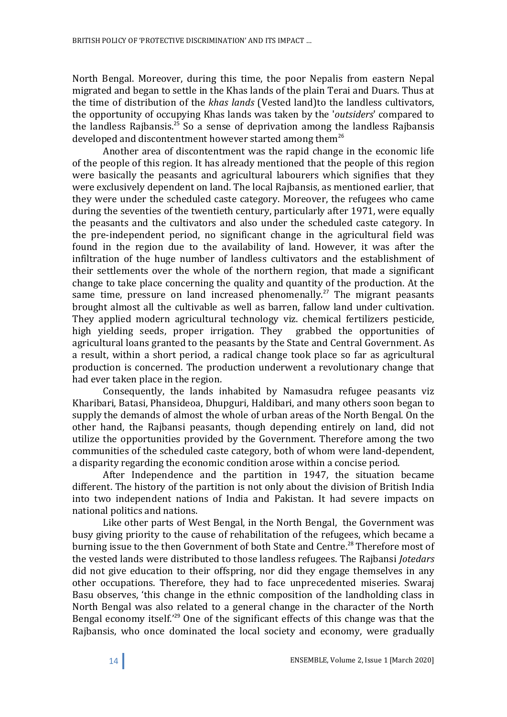North Bengal. Moreover, during this time, the poor Nepalis from eastern Nepal migrated and began to settle in the Khas lands of the plain Terai and Duars. Thus at the time of distribution of the khas lands (Vested land)to the landless cultivators, the opportunity of occupying Khas lands was taken by the 'outsiders' compared to the landless Rajbansis.<sup>25</sup> So a sense of deprivation among the landless Rajbansis developed and discontentment however started among them<sup>26</sup>

Another area of discontentment was the rapid change in the economic life of the people of this region. It has already mentioned that the people of this region were basically the peasants and agricultural labourers which signifies that they were exclusively dependent on land. The local Rajbansis, as mentioned earlier, that they were under the scheduled caste category. Moreover, the refugees who came during the seventies of the twentieth century, particularly after 1971, were equally the peasants and the cultivators and also under the scheduled caste category. In the pre-independent period, no significant change in the agricultural field was found in the region due to the availability of land. However, it was after the infiltration of the huge number of landless cultivators and the establishment of their settlements over the whole of the northern region, that made a significant change to take place concerning the quality and quantity of the production. At the same time, pressure on land increased phenomenally.<sup>27</sup> The migrant peasants brought almost all the cultivable as well as barren, fallow land under cultivation. They applied modern agricultural technology viz. chemical fertilizers pesticide, high yielding seeds, proper irrigation. They grabbed the opportunities of agricultural loans granted to the peasants by the State and Central Government. As a result, within a short period, a radical change took place so far as agricultural production is concerned. The production underwent a revolutionary change that had ever taken place in the region.

Consequently, the lands inhabited by Namasudra refugee peasants viz Kharibari, Batasi, Phansideoa, Dhupguri, Haldibari, and many others soon began to supply the demands of almost the whole of urban areas of the North Bengal. On the other hand, the Rajbansi peasants, though depending entirely on land, did not utilize the opportunities provided by the Government. Therefore among the two communities of the scheduled caste category, both of whom were land-dependent, a disparity regarding the economic condition arose within a concise period.

After Independence and the partition in 1947, the situation became different. The history of the partition is not only about the division of British India into two independent nations of India and Pakistan. It had severe impacts on national politics and nations.

Like other parts of West Bengal, in the North Bengal, the Government was busy giving priority to the cause of rehabilitation of the refugees, which became a burning issue to the then Government of both State and Centre.<sup>28</sup> Therefore most of the vested lands were distributed to those landless refugees. The Rajbansi *Jotedars* did not give education to their offspring, nor did they engage themselves in any other occupations. Therefore, they had to face unprecedented miseries. Swaraj Basu observes, 'this change in the ethnic composition of the landholding class in North Bengal was also related to a general change in the character of the North Bengal economy itself.<sup>29</sup> One of the significant effects of this change was that the Rajbansis, who once dominated the local society and economy, were gradually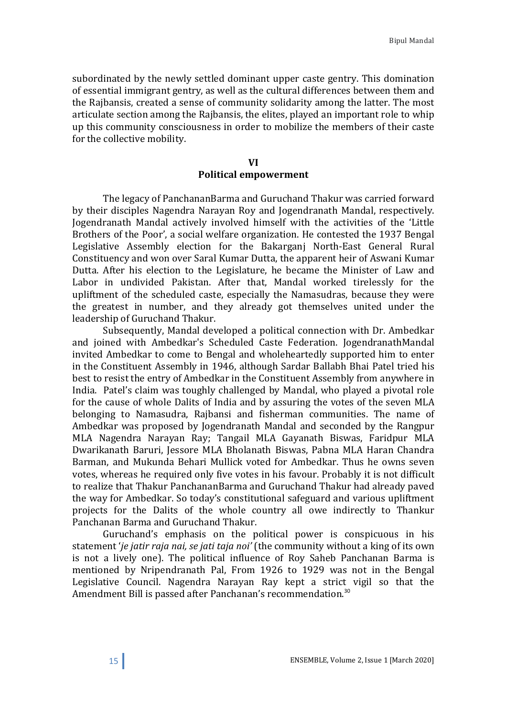subordinated by the newly settled dominant upper caste gentry. This domination of essential immigrant gentry, as well as the cultural differences between them and the Rajbansis, created a sense of community solidarity among the latter. The most articulate section among the Rajbansis, the elites, played an important role to whip up this community consciousness in order to mobilize the members of their caste for the collective mobility.

# VI Political empowerment

The legacy of PanchananBarma and Guruchand Thakur was carried forward by their disciples Nagendra Narayan Roy and Jogendranath Mandal, respectively. Jogendranath Mandal actively involved himself with the activities of the 'Little Brothers of the Poor', a social welfare organization. He contested the 1937 Bengal Legislative Assembly election for the Bakarganj North-East General Rural Constituency and won over Saral Kumar Dutta, the apparent heir of Aswani Kumar Dutta. After his election to the Legislature, he became the Minister of Law and Labor in undivided Pakistan. After that, Mandal worked tirelessly for the upliftment of the scheduled caste, especially the Namasudras, because they were the greatest in number, and they already got themselves united under the leadership of Guruchand Thakur.

Subsequently, Mandal developed a political connection with Dr. Ambedkar and joined with Ambedkar's Scheduled Caste Federation. JogendranathMandal invited Ambedkar to come to Bengal and wholeheartedly supported him to enter in the Constituent Assembly in 1946, although Sardar Ballabh Bhai Patel tried his best to resist the entry of Ambedkar in the Constituent Assembly from anywhere in India. Patel's claim was toughly challenged by Mandal, who played a pivotal role for the cause of whole Dalits of India and by assuring the votes of the seven MLA belonging to Namasudra, Rajbansi and fisherman communities. The name of Ambedkar was proposed by Jogendranath Mandal and seconded by the Rangpur MLA Nagendra Narayan Ray; Tangail MLA Gayanath Biswas, Faridpur MLA Dwarikanath Baruri, Jessore MLA Bholanath Biswas, Pabna MLA Haran Chandra Barman, and Mukunda Behari Mullick voted for Ambedkar. Thus he owns seven votes, whereas he required only five votes in his favour. Probably it is not difficult to realize that Thakur PanchananBarma and Guruchand Thakur had already paved the way for Ambedkar. So today's constitutional safeguard and various upliftment projects for the Dalits of the whole country all owe indirectly to Thankur Panchanan Barma and Guruchand Thakur.

Guruchand's emphasis on the political power is conspicuous in his statement 'je jatir raja nai, se jati taja noi' (the community without a king of its own is not a lively one). The political influence of Roy Saheb Panchanan Barma is mentioned by Nripendranath Pal, From 1926 to 1929 was not in the Bengal Legislative Council. Nagendra Narayan Ray kept a strict vigil so that the Amendment Bill is passed after Panchanan's recommendation.<sup>30</sup>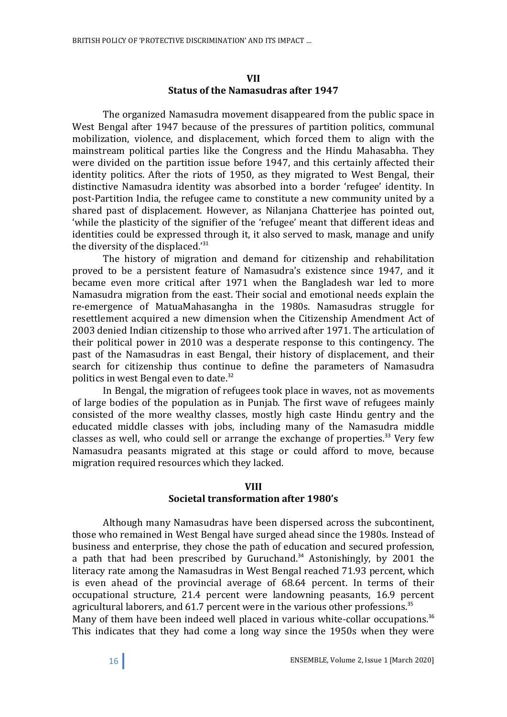## VII Status of the Namasudras after 1947

The organized Namasudra movement disappeared from the public space in West Bengal after 1947 because of the pressures of partition politics, communal mobilization, violence, and displacement, which forced them to align with the mainstream political parties like the Congress and the Hindu Mahasabha. They were divided on the partition issue before 1947, and this certainly affected their identity politics. After the riots of 1950, as they migrated to West Bengal, their distinctive Namasudra identity was absorbed into a border 'refugee' identity. In post-Partition India, the refugee came to constitute a new community united by a shared past of displacement. However, as Nilanjana Chatterjee has pointed out, 'while the plasticity of the signifier of the 'refugee' meant that different ideas and identities could be expressed through it, it also served to mask, manage and unify the diversity of the displaced.'<sup>31</sup>

The history of migration and demand for citizenship and rehabilitation proved to be a persistent feature of Namasudra's existence since 1947, and it became even more critical after 1971 when the Bangladesh war led to more Namasudra migration from the east. Their social and emotional needs explain the re-emergence of MatuaMahasangha in the 1980s. Namasudras struggle for resettlement acquired a new dimension when the Citizenship Amendment Act of 2003 denied Indian citizenship to those who arrived after 1971. The articulation of their political power in 2010 was a desperate response to this contingency. The past of the Namasudras in east Bengal, their history of displacement, and their search for citizenship thus continue to define the parameters of Namasudra politics in west Bengal even to date.<sup>32</sup>

In Bengal, the migration of refugees took place in waves, not as movements of large bodies of the population as in Punjab. The first wave of refugees mainly consisted of the more wealthy classes, mostly high caste Hindu gentry and the educated middle classes with jobs, including many of the Namasudra middle classes as well, who could sell or arrange the exchange of properties.<sup>33</sup> Very few Namasudra peasants migrated at this stage or could afford to move, because migration required resources which they lacked.

### VIII

## Societal transformation after 1980's

Although many Namasudras have been dispersed across the subcontinent, those who remained in West Bengal have surged ahead since the 1980s. Instead of business and enterprise, they chose the path of education and secured profession, a path that had been prescribed by Guruchand.<sup>34</sup> Astonishingly, by 2001 the literacy rate among the Namasudras in West Bengal reached 71.93 percent, which is even ahead of the provincial average of 68.64 percent. In terms of their occupational structure, 21.4 percent were landowning peasants, 16.9 percent agricultural laborers, and 61.7 percent were in the various other professions.<sup>35</sup> Many of them have been indeed well placed in various white-collar occupations.<sup>36</sup> This indicates that they had come a long way since the 1950s when they were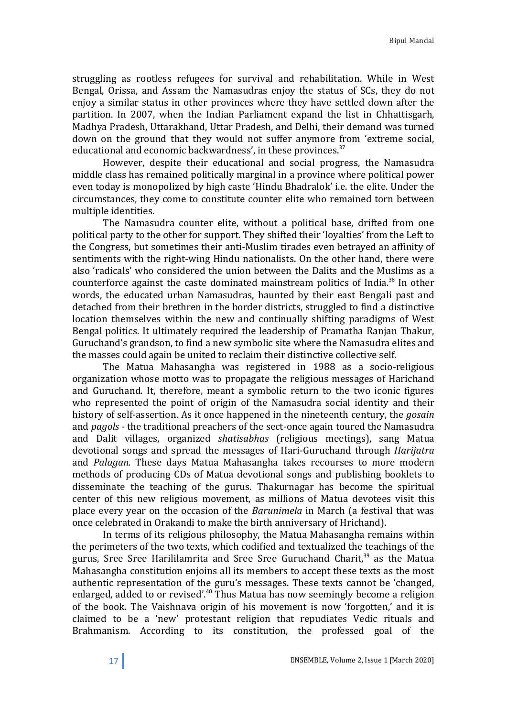struggling as rootless refugees for survival and rehabilitation. While in West Bengal, Orissa, and Assam the Namasudras enjoy the status of SCs, they do not enjoy a similar status in other provinces where they have settled down after the partition. In 2007, when the Indian Parliament expand the list in Chhattisgarh, Madhya Pradesh, Uttarakhand, Uttar Pradesh, and Delhi, their demand was turned down on the ground that they would not suffer anymore from 'extreme social, educational and economic backwardness', in these provinces.<sup>37</sup>

However, despite their educational and social progress, the Namasudra middle class has remained politically marginal in a province where political power even today is monopolized by high caste 'Hindu Bhadralok' i.e. the elite. Under the circumstances, they come to constitute counter elite who remained torn between multiple identities.

The Namasudra counter elite, without a political base, drifted from one political party to the other for support. They shifted their 'loyalties' from the Left to the Congress, but sometimes their anti-Muslim tirades even betrayed an affinity of sentiments with the right-wing Hindu nationalists. On the other hand, there were also 'radicals' who considered the union between the Dalits and the Muslims as a counterforce against the caste dominated mainstream politics of India.<sup>38</sup> In other words, the educated urban Namasudras, haunted by their east Bengali past and detached from their brethren in the border districts, struggled to find a distinctive location themselves within the new and continually shifting paradigms of West Bengal politics. It ultimately required the leadership of Pramatha Ranjan Thakur, Guruchand's grandson, to find a new symbolic site where the Namasudra elites and the masses could again be united to reclaim their distinctive collective self.

The Matua Mahasangha was registered in 1988 as a socio-religious organization whose motto was to propagate the religious messages of Harichand and Guruchand. It, therefore, meant a symbolic return to the two iconic figures who represented the point of origin of the Namasudra social identity and their history of self-assertion. As it once happened in the nineteenth century, the *gosain* and pagols - the traditional preachers of the sect-once again toured the Namasudra and Dalit villages, organized shatisabhas (religious meetings), sang Matua devotional songs and spread the messages of Hari-Guruchand through Harijatra and Palagan. These days Matua Mahasangha takes recourses to more modern methods of producing CDs of Matua devotional songs and publishing booklets to disseminate the teaching of the gurus. Thakurnagar has become the spiritual center of this new religious movement, as millions of Matua devotees visit this place every year on the occasion of the Barunimela in March (a festival that was once celebrated in Orakandi to make the birth anniversary of Hrichand).

In terms of its religious philosophy, the Matua Mahasangha remains within the perimeters of the two texts, which codified and textualized the teachings of the gurus, Sree Sree Harililamrita and Sree Sree Guruchand Charit,<sup>39</sup> as the Matua Mahasangha constitution enjoins all its members to accept these texts as the most authentic representation of the guru's messages. These texts cannot be 'changed, enlarged, added to or revised'.<sup>40</sup> Thus Matua has now seemingly become a religion of the book. The Vaishnava origin of his movement is now 'forgotten,' and it is claimed to be a 'new' protestant religion that repudiates Vedic rituals and Brahmanism. According to its constitution, the professed goal of the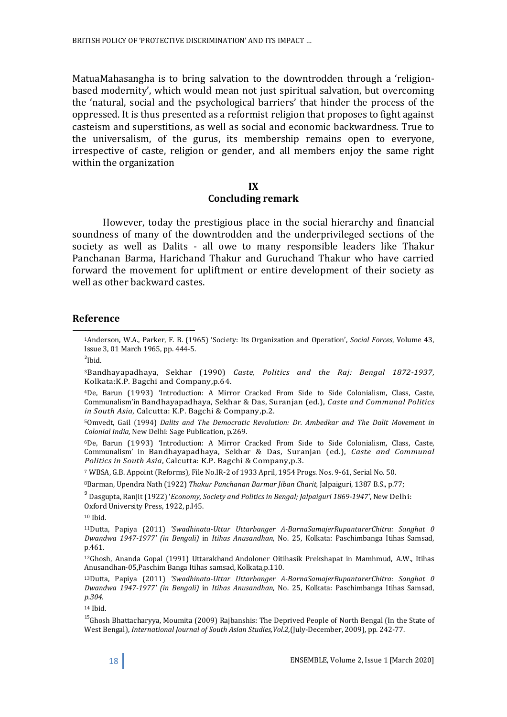MatuaMahasangha is to bring salvation to the downtrodden through a 'religionbased modernity', which would mean not just spiritual salvation, but overcoming the 'natural, social and the psychological barriers' that hinder the process of the oppressed. It is thus presented as a reformist religion that proposes to fight against casteism and superstitions, as well as social and economic backwardness. True to the universalism, of the gurus, its membership remains open to everyone, irrespective of caste, religion or gender, and all members enjoy the same right within the organization

## IX Concluding remark

However, today the prestigious place in the social hierarchy and financial soundness of many of the downtrodden and the underprivileged sections of the society as well as Dalits - all owe to many responsible leaders like Thakur Panchanan Barma, Harichand Thakur and Guruchand Thakur who have carried forward the movement for upliftment or entire development of their society as well as other backward castes.

### Reference

 $2$ Ibid.

-

<sup>5</sup>Omvedt, Gail (1994) Dalits and The Democratic Revolution: Dr. Ambedkar and The Dalit Movement in Colonial India, New Delhi: Sage Publication, p.269.

<sup>6</sup>De, Barun (1993) 'Introduction: A Mirror Cracked From Side to Side Colonialism, Class, Caste, Communalism' in Bandhayapadhaya, Sekhar & Das, Suranjan (ed.), Caste and Communal Politics in South Asia, Calcutta: K.P. Bagchi & Company,p.3.

<sup>7</sup> WBSA, G.B. Appoint (Reforms), File No.IR-2 of 1933 April, 1954 Progs. Nos. 9-61, Serial No. 50.

<sup>8</sup>Barman, Upendra Nath (1922) Thakur Panchanan Barmar Jiban Charit, Jalpaiguri, 1387 B.S., p.77;

<sup>9</sup> Dasgupta, Ranjit (1922) 'Economy, Society and Politics in Bengal; Jalpaiguri 1869-1947', New Delhi: Oxford University Press, 1922, p.l45.

<sup>10</sup> Ibid.

<sup>14</sup> Ibid.

<sup>1</sup>Anderson, W.A., Parker, F. B. (1965) 'Society: Its Organization and Operation', Social Forces, Volume 43, Issue 3, 01 March 1965, pp. 444-5.

<sup>&</sup>lt;sup>3</sup>Bandhayapadhaya, Sekhar (1990) *Caste, Politics and the Raj: Bengal 1872-1937*, Kolkata:K.P. Bagchi and Company,p.64.

<sup>4</sup>De, Barun (1993) 'Introduction: A Mirror Cracked From Side to Side Colonialism, Class, Caste, Communalism'in Bandhayapadhaya, Sekhar & Das, Suranjan (ed.), Caste and Communal Politics in South Asia, Calcutta: K.P. Bagchi & Company,p.2.

<sup>11</sup>Dutta, Papiya (2011) 'Swadhinata-Uttar Uttarbanger A-BarnaSamajerRupantarerChitra: Sanghat 0 Dwandwa 1947-1977' (in Bengali) in Itihas Anusandhan, No. 25, Kolkata: Paschimbanga Itihas Samsad, p.461.

<sup>12</sup>Ghosh, Ananda Gopal (1991) Uttarakhand Andoloner Oitihasik Prekshapat in Mamhmud, A.W., Itihas Anusandhan-05,Paschim Banga Itihas samsad, Kolkata,p.110.

<sup>13</sup>Dutta, Papiya (2011) 'Swadhinata-Uttar Uttarbanger A-BarnaSamajerRupantarerChitra: Sanghat 0 Dwandwa 1947-1977' (in Bengali) in Itihas Anusandhan, No. 25, Kolkata: Paschimbanga Itihas Samsad, p.304.

<sup>&</sup>lt;sup>15</sup>Ghosh Bhattacharyya, Moumita (2009) Rajbanshis: The Deprived People of North Bengal (In the State of West Bengal), International Journal of South Asian Studies,Vol.2,(July-December, 2009), pp. 242-77.